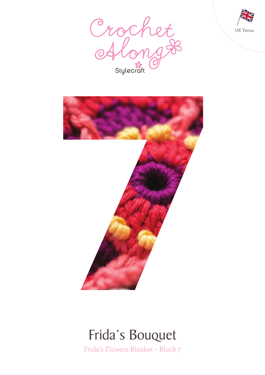





### Frida's Bouquet

Frida's Flowers Blanket – Block 7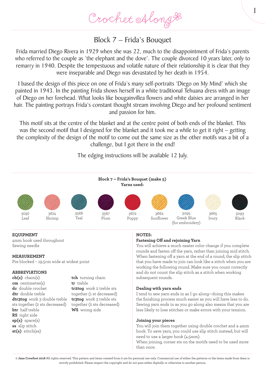Crochet Along &

### Block 7 – Frida's Bouquet

Frida married Diego Rivera in 1929 when she was 22, much to the disappointment of Frida's parents who referred to the couple as 'the elephant and the dove'. The couple divorced 10 years later, only to remarry in 1940. Despite the tempestuous and volatile nature of their relationship it is clear that they were inseparable and Diego was devastated by her death in 1954.

I based the design of this piece on one of Frida's many self-portraits 'Diego on My Mind' which she painted in 1943. In the painting Frida shows herself in a white traditional Tehuana dress with an image of Diego on her forehead. What looks like bougainvillea flowers and white daisies are arranged in her hair. The painting portrays Frida's constant thought stream involving Diego and her profound sentiment and passion for him.

This motif sits at the centre of the blanket and at the centre point of both ends of the blanket. This was the second motif that I designed for the blanket and it took me a while to get it right – getting the complexity of the design of the motif to come out the same size as the other motifs was a bit of a challenge, but I got there in the end!

The edging instructions will be available 12 July.



#### **EQUIPMENT**

4mm hook used throughout Sewing needle

#### **MEASUREMENT**

Pre blocked – 19.5cm wide at widest point

#### **ABBREVIATIONS**

**ch(s)** chain(s) **cm** centimetre(s) **dc** double crochet **dtr** double treble **dtr3tog** work 3 double treble sts together (2 sts decreased) **htr** half treble **RS** right side **sp(s)** space(s) **ss** slip stitch **st(s)** stitch(es)

**tch** turning chain **tr** treble **tr2tog** work 2 treble sts together (1 st decreased) **tr3tog** work 3 treble sts together (2 sts decreased) **WS** wrong side

#### **NOTES:**

#### **Fastening Off and rejoining Yarn**

You will achieve a much neater color change if you complete rounds and fasten off the yarn, rather than joining mid stitch. When fastening off a yarn at the end of a round, the slip stitch that you have made to join can look like a stitch when you are working the following round. Make sure you count correctly and do not count the slip stitch as a stitch when working subsequent rounds.

1

#### **Dealing with yarn ends**

I tend to sew yarn ends in as I go along—doing this makes the finishing process much easier as you will have less to do. Sewing yarn ends in as you go along also means that you are less likely to lose stitches or make errors with your tension.

#### **Joining your pieces**

You will join them together using double crochet and a 4mm hook. To save yarn, you could use slip stitch instead, but will need to use a larger hook (4.5mm).

When joining, corner sts on the motifs need to be used more than once.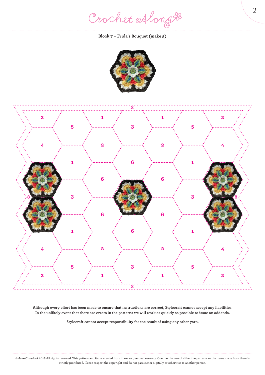Crochet Along #

#### **Block 7 – Frida's Bouquet (make 5)**





**Although every effort has been made to ensure that instructions are correct, Stylecraft cannot accept any liabilities. In the unlikely event that there are errors in the patterns we will work as quickly as possible to issue an addenda.**

**Stylecraft cannot accept responsibility for the result of using any other yarn.**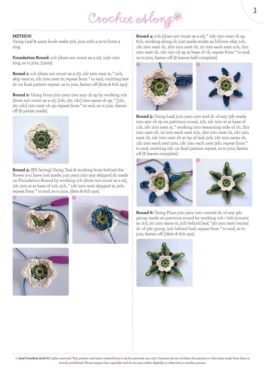# Crochet Along &

#### **METHOD**

Using Leaf & 4mm hook make 5ch, join with a ss to form a ring

**Foundation Round:** 1ch (does not count as a st), 12dc into ring, ss to join, (12sts)

**Round 1:** 1ch (does not count as a st), 1dc into next st, \* 2ch, skip next st, 1dc into next st; repeat from \* to end, omitting last dc on final pattern repeat, ss to join, fasten off (6sts & 6ch sps)

**Round 2:** Using Ivory join yarn into any ch sp by working 1ch (does not count as a st), [1dc, 3tr, 1dc] into same ch sp, \* [1dc, 3tr, 1dc] into next ch sp; repeat from \* to end, ss to join, fasten off (6 petals made)



**Round 3:** (RS facing) Using Teal & working from behind the flower you have just made, join yarn into any skipped dc made on Foundation Round by working 1ch (does not count as a st), 1dc into st at base of 1ch, 3ch, \* 1dc into next skipped st, 3ch; repeat from \* to end, ss to join, (6sts & 6ch sps)







**Round 4:** 1ch (does not count as a st), \* 2dc into next ch sp, 6ch, working along ch just made works as follows: skip 1ch, 1dc into next ch, 1htr into next ch, 1tr into each next 2ch, 1htr into next ch, 1dc into ch sp at base of ch; repeat from \* to end, ss to join, fasten off (6 leaves half complete)



**Round 5:** Using Leaf, join yarn into 2nd dc of any 3dc made into any ch sp on previous round, 1ch, 1dc into st at base of 1ch, 1dc into next st, \* working into remaining side of ch, 1htr into next ch, 1tr into each next 2ch, 1htr into next ch, 1dc into next ch, 1dc into next ch at tip of leaf, 5ch, 1dc into same ch, 1dc into each next 5sts, 1dc into each next 3dc; repeat from \* to end, omitting 2dc on final pattern repeat, ss to join, fasten off (6 leaves complete)





**Round 6:** Using Plum join yarn into central dc of any 3dc group made on previous round by working 1ch + 2ch (counts as 1tr), 2tr into same st, 5ch behind leaf, \*3tr into next central dc of 3dc group, 5ch behind leaf; repeat from \* to end, ss to join, fasten off (18sts & 6ch sps)

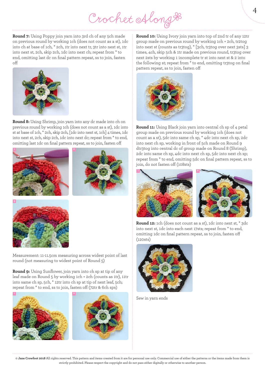Crochet Along &

**Round 7:** Using Poppy join yarn into 3rd ch of any 5ch made on previous round by working 1ch (does not count as a st), 1dc into ch at base of 1ch, \* 2ch, 1tr into next tr, 3tr into next st, 1tr into next st, 2ch, skip 2ch, 1dc into next ch; repeat from \* to end, omitting last dc on final pattern repeat, ss to join, fasten off



**Round 8:** Using Shrimp, join yarn into any dc made into ch on previous round by working 1ch (does not count as a st), 1dc into st at base of 1ch, \* 2ch, skip 2ch, [1dc into next st, 1ch] 4 times, 1dc into next st, 2ch, skip 2ch, 1dc into next dc; repeat from \* to end, omitting last 1dc on final pattern repeat, ss to join, fasten off







Measurement: 11-11.5cm measuring across widest point of last round (not measuring to widest point of Round 5)

**Round 9:** Using Sunflower, join yarn into ch sp at tip of any leaf made on Round 5 by working 1ch + 2ch (counts as 1tr), 11tr into same ch sp, 5ch, \* 12tr into ch sp at tip of next leaf, 5ch; repeat from \* to end, ss to join, fasten off (72tr & 6ch sps)



**Round 10:** Using Ivory join yarn into top of 2nd tr of any 12tr group made on previous round by working 1ch + 2ch, tr2tog into next st (counts as tr3tog), \* [3ch, tr3tog over next 3sts] 3 times, 4ch, skip 5ch & 1tr made on previous round, tr3tog over next 2sts by working 1 incomplete tr st into next st & 2 into the following st; repeat from \* to end, omitting tr3tog on final pattern repeat, ss to join, fasten off



**Round 11:** Using Black join yarn into central ch sp of 4 petal group made on previous round by working 1ch (does not count as a st), 5dc into same ch sp, \* 4dc into next ch sp, 2dc into next ch sp, working in front of 5ch made on Round 9 dtr3tog into central dc of group made on Round 8 (Shrimp), 2dc into same ch sp, 4dc into next ch sp, 5dc into next ch sp; repeat from \* to end, omitting 5dc on final pattern repeat, ss to join, do not fasten off (108sts)





**Round 12:** 1ch (does not count as a st), 1dc into next st, \* 3dc into next st, 1dc into each next 17sts; repeat from \* to end, omitting 1dc on final pattern repeat, ss to join, fasten off (120sts)



Sew in yarn ends